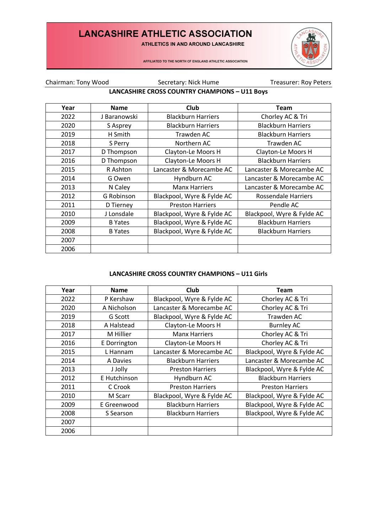ATHLETICS IN AND AROUND LANCASHIRE



AFFILIATED TO THE NORTH OF ENGLAND ATHLETIC ASSOCIATION

Chairman: Tony Wood Secretary: Nick Hume Treasurer: Roy Peters

### **LANCASHIRE CROSS COUNTRY CHAMPIONS – U11 Boys**

| Year | <b>Name</b>    | Club                       | <b>Team</b>                |
|------|----------------|----------------------------|----------------------------|
| 2022 | J Baranowski   | <b>Blackburn Harriers</b>  | Chorley AC & Tri           |
| 2020 | S Asprey       | <b>Blackburn Harriers</b>  | <b>Blackburn Harriers</b>  |
| 2019 | H Smith        | Trawden AC                 | <b>Blackburn Harriers</b>  |
| 2018 | S Perry        | Northern AC                | Trawden AC                 |
| 2017 | D Thompson     | Clayton-Le Moors H         | Clayton-Le Moors H         |
| 2016 | D Thompson     | Clayton-Le Moors H         | <b>Blackburn Harriers</b>  |
| 2015 | R Ashton       | Lancaster & Morecambe AC   | Lancaster & Morecambe AC   |
| 2014 | G Owen         | Hyndburn AC                | Lancaster & Morecambe AC   |
| 2013 | N Caley        | <b>Manx Harriers</b>       | Lancaster & Morecambe AC   |
| 2012 | G Robinson     | Blackpool, Wyre & Fylde AC | Rossendale Harriers        |
| 2011 | D Tierney      | <b>Preston Harriers</b>    | Pendle AC                  |
| 2010 | J Lonsdale     | Blackpool, Wyre & Fylde AC | Blackpool, Wyre & Fylde AC |
| 2009 | <b>B</b> Yates | Blackpool, Wyre & Fylde AC | <b>Blackburn Harriers</b>  |
| 2008 | <b>B</b> Yates | Blackpool, Wyre & Fylde AC | <b>Blackburn Harriers</b>  |
| 2007 |                |                            |                            |
| 2006 |                |                            |                            |

### **LANCASHIRE CROSS COUNTRY CHAMPIONS – U11 Girls**

| Year | <b>Name</b>  | Club                       | Team                       |
|------|--------------|----------------------------|----------------------------|
| 2022 | P Kershaw    | Blackpool, Wyre & Fylde AC | Chorley AC & Tri           |
| 2020 | A Nicholson  | Lancaster & Morecambe AC   | Chorley AC & Tri           |
| 2019 | G Scott      | Blackpool, Wyre & Fylde AC | Trawden AC                 |
| 2018 | A Halstead   | Clayton-Le Moors H         | <b>Burnley AC</b>          |
| 2017 | M Hillier    | <b>Manx Harriers</b>       | Chorley AC & Tri           |
| 2016 | E Dorrington | Clayton-Le Moors H         | Chorley AC & Tri           |
| 2015 | L Hannam     | Lancaster & Morecambe AC   | Blackpool, Wyre & Fylde AC |
| 2014 | A Davies     | <b>Blackburn Harriers</b>  | Lancaster & Morecambe AC   |
| 2013 | J Jolly      | <b>Preston Harriers</b>    | Blackpool, Wyre & Fylde AC |
| 2012 | E Hutchinson | Hyndburn AC                | <b>Blackburn Harriers</b>  |
| 2011 | C Crook      | <b>Preston Harriers</b>    | <b>Preston Harriers</b>    |
| 2010 | M Scarr      | Blackpool, Wyre & Fylde AC | Blackpool, Wyre & Fylde AC |
| 2009 | E Greenwood  | <b>Blackburn Harriers</b>  | Blackpool, Wyre & Fylde AC |
| 2008 | S Searson    | <b>Blackburn Harriers</b>  | Blackpool, Wyre & Fylde AC |
| 2007 |              |                            |                            |
| 2006 |              |                            |                            |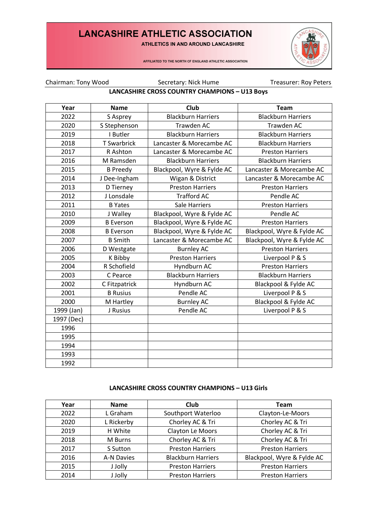ATHLETICS IN AND AROUND LANCASHIRE



AFFILIATED TO THE NORTH OF ENGLAND ATHLETIC ASSOCIATION

Chairman: Tony Wood Secretary: Nick Hume Treasurer: Roy Peters

### **LANCASHIRE CROSS COUNTRY CHAMPIONS – U13 Boys**

| Year       | <b>Name</b>        | <b>Club</b>                | <b>Team</b>                |
|------------|--------------------|----------------------------|----------------------------|
| 2022       | S Asprey           | <b>Blackburn Harriers</b>  | <b>Blackburn Harriers</b>  |
| 2020       | S Stephenson       | <b>Trawden AC</b>          | <b>Trawden AC</b>          |
| 2019       | I Butler           | <b>Blackburn Harriers</b>  | <b>Blackburn Harriers</b>  |
| 2018       | <b>T</b> Swarbrick | Lancaster & Morecambe AC   | <b>Blackburn Harriers</b>  |
| 2017       | R Ashton           | Lancaster & Morecambe AC   | <b>Preston Harriers</b>    |
| 2016       | M Ramsden          | <b>Blackburn Harriers</b>  | <b>Blackburn Harriers</b>  |
| 2015       | <b>B</b> Preedy    | Blackpool, Wyre & Fylde AC | Lancaster & Morecambe AC   |
| 2014       | J Dee-Ingham       | Wigan & District           | Lancaster & Morecambe AC   |
| 2013       | D Tierney          | <b>Preston Harriers</b>    | <b>Preston Harriers</b>    |
| 2012       | J Lonsdale         | <b>Trafford AC</b>         | Pendle AC                  |
| 2011       | <b>B</b> Yates     | <b>Sale Harriers</b>       | <b>Preston Harriers</b>    |
| 2010       | J Walley           | Blackpool, Wyre & Fylde AC | Pendle AC                  |
| 2009       | <b>B</b> Everson   | Blackpool, Wyre & Fylde AC | <b>Preston Harriers</b>    |
| 2008       | <b>B</b> Everson   | Blackpool, Wyre & Fylde AC | Blackpool, Wyre & Fylde AC |
| 2007       | <b>B</b> Smith     | Lancaster & Morecambe AC   | Blackpool, Wyre & Fylde AC |
| 2006       | D Westgate         | <b>Burnley AC</b>          | <b>Preston Harriers</b>    |
| 2005       | K Bibby            | <b>Preston Harriers</b>    | Liverpool P & S            |
| 2004       | R Schofield        | Hyndburn AC                | <b>Preston Harriers</b>    |
| 2003       | C Pearce           | <b>Blackburn Harriers</b>  | <b>Blackburn Harriers</b>  |
| 2002       | C Fitzpatrick      | Hyndburn AC                | Blackpool & Fylde AC       |
| 2001       | <b>B</b> Rusius    | Pendle AC                  | Liverpool P & S            |
| 2000       | M Hartley          | <b>Burnley AC</b>          | Blackpool & Fylde AC       |
| 1999 (Jan) | J Rusius           | Pendle AC                  | Liverpool P & S            |
| 1997 (Dec) |                    |                            |                            |
| 1996       |                    |                            |                            |
| 1995       |                    |                            |                            |
| 1994       |                    |                            |                            |
| 1993       |                    |                            |                            |
| 1992       |                    |                            |                            |

#### **LANCASHIRE CROSS COUNTRY CHAMPIONS – U13 Girls**

| Year | <b>Name</b> | Club                      | <b>Team</b>                |
|------|-------------|---------------------------|----------------------------|
| 2022 | L Graham    | Southport Waterloo        | Clayton-Le-Moors           |
| 2020 | L Rickerby  | Chorley AC & Tri          | Chorley AC & Tri           |
| 2019 | H White     | Clayton Le Moors          | Chorley AC & Tri           |
| 2018 | M Burns     | Chorley AC & Tri          | Chorley AC & Tri           |
| 2017 | S Sutton    | <b>Preston Harriers</b>   | <b>Preston Harriers</b>    |
| 2016 | A-N Davies  | <b>Blackburn Harriers</b> | Blackpool, Wyre & Fylde AC |
| 2015 | J Jolly     | <b>Preston Harriers</b>   | <b>Preston Harriers</b>    |
| 2014 | J Jolly     | <b>Preston Harriers</b>   | <b>Preston Harriers</b>    |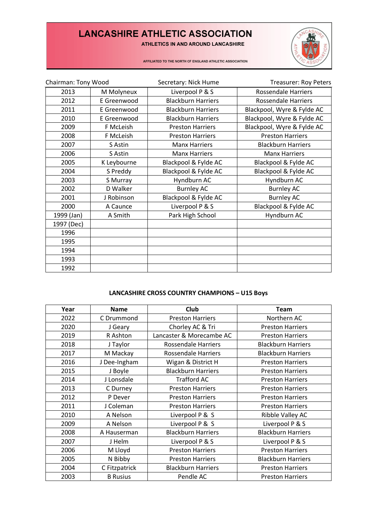ATHLETICS IN AND AROUND LANCASHIRE



AFFILIATED TO THE NORTH OF ENGLAND ATHLETIC ASSOCIATION

| Chairman: Tony Wood |             | Secretary: Nick Hume      | <b>Treasurer: Roy Peters</b> |
|---------------------|-------------|---------------------------|------------------------------|
| 2013                | M Molyneux  | Liverpool P & S           | Rossendale Harriers          |
| 2012                | E Greenwood | <b>Blackburn Harriers</b> | <b>Rossendale Harriers</b>   |
| 2011                | E Greenwood | <b>Blackburn Harriers</b> | Blackpool, Wyre & Fylde AC   |
| 2010                | E Greenwood | <b>Blackburn Harriers</b> | Blackpool, Wyre & Fylde AC   |
| 2009                | F McLeish   | <b>Preston Harriers</b>   | Blackpool, Wyre & Fylde AC   |
| 2008                | F McLeish   | <b>Preston Harriers</b>   | <b>Preston Harriers</b>      |
| 2007                | S Astin     | <b>Manx Harriers</b>      | <b>Blackburn Harriers</b>    |
| 2006                | S Astin     | <b>Manx Harriers</b>      | <b>Manx Harriers</b>         |
| 2005                | K Leybourne | Blackpool & Fylde AC      | Blackpool & Fylde AC         |
| 2004                | S Preddy    | Blackpool & Fylde AC      | Blackpool & Fylde AC         |
| 2003                | S Murray    | Hyndburn AC               | Hyndburn AC                  |
| 2002                | D Walker    | <b>Burnley AC</b>         | <b>Burnley AC</b>            |
| 2001                | J Robinson  | Blackpool & Fylde AC      | <b>Burnley AC</b>            |
| 2000                | A Caunce    | Liverpool P & S           | Blackpool & Fylde AC         |
| 1999 (Jan)          | A Smith     | Park High School          | Hyndburn AC                  |
| 1997 (Dec)          |             |                           |                              |
| 1996                |             |                           |                              |
| 1995                |             |                           |                              |
| 1994                |             |                           |                              |
| 1993                |             |                           |                              |
| 1992                |             |                           |                              |

### **LANCASHIRE CROSS COUNTRY CHAMPIONS – U15 Boys**

| Year | <b>Name</b>     | <b>Club</b>                | <b>Team</b>               |
|------|-----------------|----------------------------|---------------------------|
| 2022 | C Drummond      | <b>Preston Harriers</b>    | Northern AC               |
| 2020 | J Geary         | Chorley AC & Tri           | <b>Preston Harriers</b>   |
| 2019 | R Ashton        | Lancaster & Morecambe AC   | <b>Preston Harriers</b>   |
| 2018 | J Taylor        | Rossendale Harriers        | <b>Blackburn Harriers</b> |
| 2017 | M Mackay        | <b>Rossendale Harriers</b> | <b>Blackburn Harriers</b> |
| 2016 | J Dee-Ingham    | Wigan & District H         | <b>Preston Harriers</b>   |
| 2015 | J Boyle         | <b>Blackburn Harriers</b>  | <b>Preston Harriers</b>   |
| 2014 | J Lonsdale      | <b>Trafford AC</b>         | <b>Preston Harriers</b>   |
| 2013 | C Durney        | <b>Preston Harriers</b>    | <b>Preston Harriers</b>   |
| 2012 | P Dever         | <b>Preston Harriers</b>    | <b>Preston Harriers</b>   |
| 2011 | J Coleman       | <b>Preston Harriers</b>    | <b>Preston Harriers</b>   |
| 2010 | A Nelson        | Liverpool P & S            | Ribble Valley AC          |
| 2009 | A Nelson        | Liverpool P & S            | Liverpool P & S           |
| 2008 | A Hauserman     | <b>Blackburn Harriers</b>  | <b>Blackburn Harriers</b> |
| 2007 | J Helm          | Liverpool P & S            | Liverpool P & S           |
| 2006 | M Lloyd         | <b>Preston Harriers</b>    | <b>Preston Harriers</b>   |
| 2005 | N Bibby         | <b>Preston Harriers</b>    | <b>Blackburn Harriers</b> |
| 2004 | C Fitzpatrick   | <b>Blackburn Harriers</b>  | <b>Preston Harriers</b>   |
| 2003 | <b>B</b> Rusius | Pendle AC                  | <b>Preston Harriers</b>   |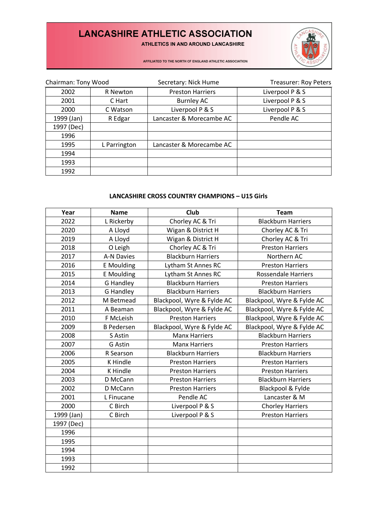ATHLETICS IN AND AROUND LANCASHIRE



AFFILIATED TO THE NORTH OF ENGLAND ATHLETIC ASSOCIATION

| Chairman: Tony Wood |              | Secretary: Nick Hume     | <b>Treasurer: Roy Peters</b> |
|---------------------|--------------|--------------------------|------------------------------|
| 2002                | R Newton     | <b>Preston Harriers</b>  | Liverpool P & S              |
| 2001                | C Hart       | Burnley AC               | Liverpool P & S              |
| 2000                | C Watson     | Liverpool P & S          | Liverpool P & S              |
| 1999 (Jan)          | R Edgar      | Lancaster & Morecambe AC | Pendle AC                    |
| 1997 (Dec)          |              |                          |                              |
| 1996                |              |                          |                              |
| 1995                | L Parrington | Lancaster & Morecambe AC |                              |
| 1994                |              |                          |                              |
| 1993                |              |                          |                              |
| 1992                |              |                          |                              |

### **LANCASHIRE CROSS COUNTRY CHAMPIONS – U15 Girls**

| Year       | <b>Name</b>       | Club                       | <b>Team</b>                |
|------------|-------------------|----------------------------|----------------------------|
| 2022       | L Rickerby        | Chorley AC & Tri           | <b>Blackburn Harriers</b>  |
| 2020       | A Lloyd           | Wigan & District H         | Chorley AC & Tri           |
| 2019       | A Lloyd           | Wigan & District H         | Chorley AC & Tri           |
| 2018       | O Leigh           | Chorley AC & Tri           | <b>Preston Harriers</b>    |
| 2017       | A-N Davies        | <b>Blackburn Harriers</b>  | Northern AC                |
| 2016       | E Moulding        | Lytham St Annes RC         | <b>Preston Harriers</b>    |
| 2015       | E Moulding        | Lytham St Annes RC         | <b>Rossendale Harriers</b> |
| 2014       | <b>G</b> Handley  | <b>Blackburn Harriers</b>  | <b>Preston Harriers</b>    |
| 2013       | <b>G</b> Handley  | <b>Blackburn Harriers</b>  | <b>Blackburn Harriers</b>  |
| 2012       | M Betmead         | Blackpool, Wyre & Fylde AC | Blackpool, Wyre & Fylde AC |
| 2011       | A Beaman          | Blackpool, Wyre & Fylde AC | Blackpool, Wyre & Fylde AC |
| 2010       | F McLeish         | <b>Preston Harriers</b>    | Blackpool, Wyre & Fylde AC |
| 2009       | <b>B Pedersen</b> | Blackpool, Wyre & Fylde AC | Blackpool, Wyre & Fylde AC |
| 2008       | S Astin           | <b>Manx Harriers</b>       | <b>Blackburn Harriers</b>  |
| 2007       | G Astin           | <b>Manx Harriers</b>       | <b>Preston Harriers</b>    |
| 2006       | R Searson         | <b>Blackburn Harriers</b>  | <b>Blackburn Harriers</b>  |
| 2005       | <b>K</b> Hindle   | <b>Preston Harriers</b>    | <b>Preston Harriers</b>    |
| 2004       | K Hindle          | <b>Preston Harriers</b>    | <b>Preston Harriers</b>    |
| 2003       | D McCann          | <b>Preston Harriers</b>    | <b>Blackburn Harriers</b>  |
| 2002       | D McCann          | <b>Preston Harriers</b>    | Blackpool & Fylde          |
| 2001       | L Finucane        | Pendle AC                  | Lancaster & M              |
| 2000       | C Birch           | Liverpool P & S            | <b>Chorley Harriers</b>    |
| 1999 (Jan) | C Birch           | Liverpool P & S            | <b>Preston Harriers</b>    |
| 1997 (Dec) |                   |                            |                            |
| 1996       |                   |                            |                            |
| 1995       |                   |                            |                            |
| 1994       |                   |                            |                            |
| 1993       |                   |                            |                            |
| 1992       |                   |                            |                            |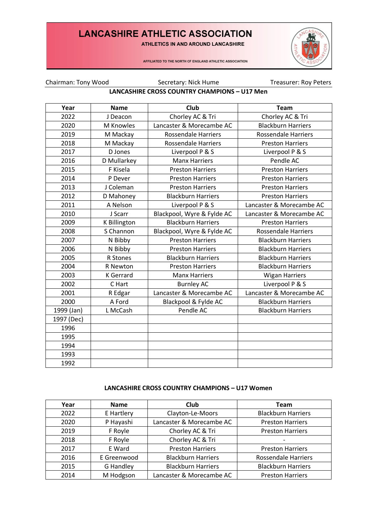ATHLETICS IN AND AROUND LANCASHIRE



AFFILIATED TO THE NORTH OF ENGLAND ATHLETIC ASSOCIATION

Chairman: Tony Wood Secretary: Nick Hume Treasurer: Roy Peters

### **LANCASHIRE CROSS COUNTRY CHAMPIONS – U17 Men**

| Year       | <b>Name</b>      | <b>Club</b>                | <b>Team</b>                |
|------------|------------------|----------------------------|----------------------------|
| 2022       | J Deacon         | Chorley AC & Tri           | Chorley AC & Tri           |
| 2020       | M Knowles        | Lancaster & Morecambe AC   | <b>Blackburn Harriers</b>  |
| 2019       | M Mackay         | <b>Rossendale Harriers</b> | <b>Rossendale Harriers</b> |
| 2018       | M Mackay         | <b>Rossendale Harriers</b> | <b>Preston Harriers</b>    |
| 2017       | D Jones          | Liverpool P & S            | Liverpool P & S            |
| 2016       | D Mullarkey      | <b>Manx Harriers</b>       | Pendle AC                  |
| 2015       | F Kisela         | <b>Preston Harriers</b>    | <b>Preston Harriers</b>    |
| 2014       | P Dever          | <b>Preston Harriers</b>    | <b>Preston Harriers</b>    |
| 2013       | J Coleman        | <b>Preston Harriers</b>    | <b>Preston Harriers</b>    |
| 2012       | D Mahoney        | <b>Blackburn Harriers</b>  | <b>Preston Harriers</b>    |
| 2011       | A Nelson         | Liverpool P & S            | Lancaster & Morecambe AC   |
| 2010       | J Scarr          | Blackpool, Wyre & Fylde AC | Lancaster & Morecambe AC   |
| 2009       | K Billington     | <b>Blackburn Harriers</b>  | <b>Preston Harriers</b>    |
| 2008       | S Channon        | Blackpool, Wyre & Fylde AC | <b>Rossendale Harriers</b> |
| 2007       | N Bibby          | <b>Preston Harriers</b>    | <b>Blackburn Harriers</b>  |
| 2006       | N Bibby          | <b>Preston Harriers</b>    | <b>Blackburn Harriers</b>  |
| 2005       | R Stones         | <b>Blackburn Harriers</b>  | <b>Blackburn Harriers</b>  |
| 2004       | R Newton         | <b>Preston Harriers</b>    | <b>Blackburn Harriers</b>  |
| 2003       | <b>K</b> Gerrard | <b>Manx Harriers</b>       | <b>Wigan Harriers</b>      |
| 2002       | C Hart           | <b>Burnley AC</b>          | Liverpool P & S            |
| 2001       | R Edgar          | Lancaster & Morecambe AC   | Lancaster & Morecambe AC   |
| 2000       | A Ford           | Blackpool & Fylde AC       | <b>Blackburn Harriers</b>  |
| 1999 (Jan) | L McCash         | Pendle AC                  | <b>Blackburn Harriers</b>  |
| 1997 (Dec) |                  |                            |                            |
| 1996       |                  |                            |                            |
| 1995       |                  |                            |                            |
| 1994       |                  |                            |                            |
| 1993       |                  |                            |                            |
| 1992       |                  |                            |                            |

#### **LANCASHIRE CROSS COUNTRY CHAMPIONS – U17 Women**

| Year | <b>Name</b>      | Club                      | <b>Team</b>                |
|------|------------------|---------------------------|----------------------------|
| 2022 | E Hartlery       | Clayton-Le-Moors          | <b>Blackburn Harriers</b>  |
| 2020 | P Hayashi        | Lancaster & Morecambe AC  | <b>Preston Harriers</b>    |
| 2019 | F Royle          | Chorley AC & Tri          | <b>Preston Harriers</b>    |
| 2018 | F Royle          | Chorley AC & Tri          | $\overline{\phantom{a}}$   |
| 2017 | E Ward           | <b>Preston Harriers</b>   | <b>Preston Harriers</b>    |
| 2016 | E Greenwood      | <b>Blackburn Harriers</b> | <b>Rossendale Harriers</b> |
| 2015 | <b>G</b> Handley | <b>Blackburn Harriers</b> | <b>Blackburn Harriers</b>  |
| 2014 | M Hodgson        | Lancaster & Morecambe AC  | <b>Preston Harriers</b>    |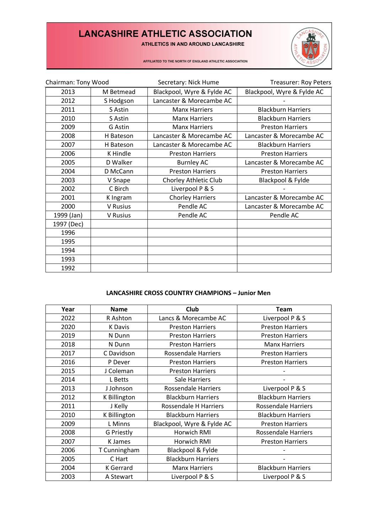ATHLETICS IN AND AROUND LANCASHIRE



AFFILIATED TO THE NORTH OF ENGLAND ATHLETIC ASSOCIATION

| Chairman: Tony Wood |           | Secretary: Nick Hume       | <b>Treasurer: Roy Peters</b> |
|---------------------|-----------|----------------------------|------------------------------|
| 2013                | M Betmead | Blackpool, Wyre & Fylde AC | Blackpool, Wyre & Fylde AC   |
| 2012                | S Hodgson | Lancaster & Morecambe AC   |                              |
| 2011                | S Astin   | <b>Manx Harriers</b>       | <b>Blackburn Harriers</b>    |
| 2010                | S Astin   | <b>Manx Harriers</b>       | <b>Blackburn Harriers</b>    |
| 2009                | G Astin   | <b>Manx Harriers</b>       | <b>Preston Harriers</b>      |
| 2008                | H Bateson | Lancaster & Morecambe AC   | Lancaster & Morecambe AC     |
| 2007                | H Bateson | Lancaster & Morecambe AC   | <b>Blackburn Harriers</b>    |
| 2006                | K Hindle  | <b>Preston Harriers</b>    | <b>Preston Harriers</b>      |
| 2005                | D Walker  | <b>Burnley AC</b>          | Lancaster & Morecambe AC     |
| 2004                | D McCann  | <b>Preston Harriers</b>    | <b>Preston Harriers</b>      |
| 2003                | V Snape   | Chorley Athletic Club      | Blackpool & Fylde            |
| 2002                | C Birch   | Liverpool P & S            |                              |
| 2001                | K Ingram  | <b>Chorley Harriers</b>    | Lancaster & Morecambe AC     |
| 2000                | V Rusius  | Pendle AC                  | Lancaster & Morecambe AC     |
| 1999 (Jan)          | V Rusius  | Pendle AC                  | Pendle AC                    |
| 1997 (Dec)          |           |                            |                              |
| 1996                |           |                            |                              |
| 1995                |           |                            |                              |
| 1994                |           |                            |                              |
| 1993                |           |                            |                              |
| 1992                |           |                            |                              |

#### **LANCASHIRE CROSS COUNTRY CHAMPIONS – Junior Men**

| Year | <b>Name</b>       | <b>Club</b>                  | <b>Team</b>                |
|------|-------------------|------------------------------|----------------------------|
| 2022 | R Ashton          | Lancs & Morecambe AC         | Liverpool P & S            |
| 2020 | K Davis           | <b>Preston Harriers</b>      | <b>Preston Harriers</b>    |
| 2019 | N Dunn            | <b>Preston Harriers</b>      | <b>Preston Harriers</b>    |
| 2018 | N Dunn            | <b>Preston Harriers</b>      | <b>Manx Harriers</b>       |
| 2017 | C Davidson        | <b>Rossendale Harriers</b>   | <b>Preston Harriers</b>    |
| 2016 | P Dever           | <b>Preston Harriers</b>      | <b>Preston Harriers</b>    |
| 2015 | J Coleman         | <b>Preston Harriers</b>      |                            |
| 2014 | L Betts           | Sale Harriers                |                            |
| 2013 | J Johnson         | Rossendale Harriers          | Liverpool P & S            |
| 2012 | K Billington      | <b>Blackburn Harriers</b>    | <b>Blackburn Harriers</b>  |
| 2011 | J Kelly           | <b>Rossendale H Harriers</b> | <b>Rossendale Harriers</b> |
| 2010 | K Billington      | <b>Blackburn Harriers</b>    | <b>Blackburn Harriers</b>  |
| 2009 | L Minns           | Blackpool, Wyre & Fylde AC   | <b>Preston Harriers</b>    |
| 2008 | <b>G</b> Priestly | Horwich RMI                  | <b>Rossendale Harriers</b> |
| 2007 | <b>K</b> James    | Horwich RMI                  | <b>Preston Harriers</b>    |
| 2006 | T Cunningham      | Blackpool & Fylde            |                            |
| 2005 | C Hart            | <b>Blackburn Harriers</b>    |                            |
| 2004 | <b>K</b> Gerrard  | <b>Manx Harriers</b>         | <b>Blackburn Harriers</b>  |
| 2003 | A Stewart         | Liverpool P & S              | Liverpool P & S            |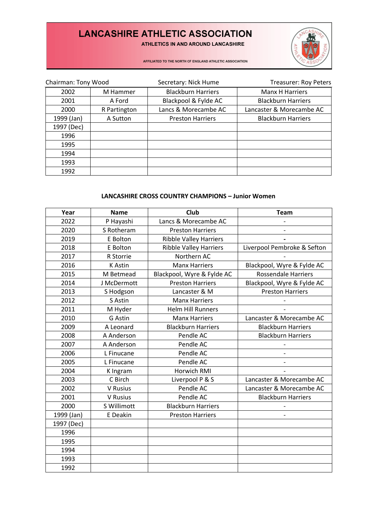ATHLETICS IN AND AROUND LANCASHIRE



AFFILIATED TO THE NORTH OF ENGLAND ATHLETIC ASSOCIATION

| Chairman: Tony Wood |              | Secretary: Nick Hume      | <b>Treasurer: Roy Peters</b> |
|---------------------|--------------|---------------------------|------------------------------|
| 2002                | M Hammer     | <b>Blackburn Harriers</b> | Manx H Harriers              |
| 2001                | A Ford       | Blackpool & Fylde AC      | <b>Blackburn Harriers</b>    |
| 2000                | R Partington | Lancs & Morecambe AC      | Lancaster & Morecambe AC     |
| 1999 (Jan)          | A Sutton     | <b>Preston Harriers</b>   | <b>Blackburn Harriers</b>    |
| 1997 (Dec)          |              |                           |                              |
| 1996                |              |                           |                              |
| 1995                |              |                           |                              |
| 1994                |              |                           |                              |
| 1993                |              |                           |                              |
| 1992                |              |                           |                              |

#### **LANCASHIRE CROSS COUNTRY CHAMPIONS – Junior Women**

| Year       | <b>Name</b>    | Club                          | <b>Team</b>                 |
|------------|----------------|-------------------------------|-----------------------------|
| 2022       | P Hayashi      | Lancs & Morecambe AC          |                             |
| 2020       | S Rotheram     | <b>Preston Harriers</b>       |                             |
| 2019       | E Bolton       | <b>Ribble Valley Harriers</b> |                             |
| 2018       | E Bolton       | <b>Ribble Valley Harriers</b> | Liverpool Pembroke & Sefton |
| 2017       | R Storrie      | Northern AC                   |                             |
| 2016       | <b>K</b> Astin | <b>Manx Harriers</b>          | Blackpool, Wyre & Fylde AC  |
| 2015       | M Betmead      | Blackpool, Wyre & Fylde AC    | <b>Rossendale Harriers</b>  |
| 2014       | J McDermott    | <b>Preston Harriers</b>       | Blackpool, Wyre & Fylde AC  |
| 2013       | S Hodgson      | Lancaster & M                 | <b>Preston Harriers</b>     |
| 2012       | S Astin        | <b>Manx Harriers</b>          |                             |
| 2011       | M Hyder        | <b>Helm Hill Runners</b>      |                             |
| 2010       | G Astin        | <b>Manx Harriers</b>          | Lancaster & Morecambe AC    |
| 2009       | A Leonard      | <b>Blackburn Harriers</b>     | <b>Blackburn Harriers</b>   |
| 2008       | A Anderson     | Pendle AC                     | <b>Blackburn Harriers</b>   |
| 2007       | A Anderson     | Pendle AC                     |                             |
| 2006       | L Finucane     | Pendle AC                     |                             |
| 2005       | L Finucane     | Pendle AC                     |                             |
| 2004       | K Ingram       | Horwich RMI                   |                             |
| 2003       | C Birch        | Liverpool P & S               | Lancaster & Morecambe AC    |
| 2002       | V Rusius       | Pendle AC                     | Lancaster & Morecambe AC    |
| 2001       | V Rusius       | Pendle AC                     | <b>Blackburn Harriers</b>   |
| 2000       | S Willimott    | <b>Blackburn Harriers</b>     |                             |
| 1999 (Jan) | E Deakin       | <b>Preston Harriers</b>       |                             |
| 1997 (Dec) |                |                               |                             |
| 1996       |                |                               |                             |
| 1995       |                |                               |                             |
| 1994       |                |                               |                             |
| 1993       |                |                               |                             |
| 1992       |                |                               |                             |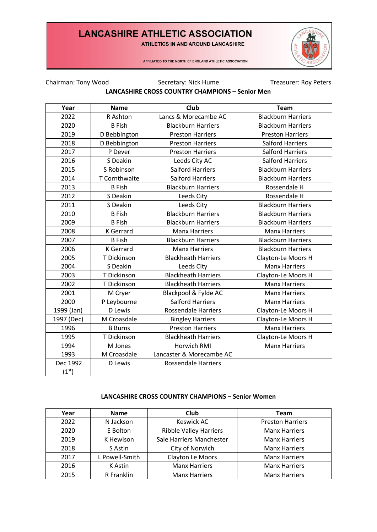ATHLETICS IN AND AROUND LANCASHIRE



AFFILIATED TO THE NORTH OF ENGLAND ATHLETIC ASSOCIATION

Chairman: Tony Wood Secretary: Nick Hume Treasurer: Roy Peters

### **LANCASHIRE CROSS COUNTRY CHAMPIONS – Senior Men**

| Year               | <b>Name</b>      | <b>Club</b>                | <b>Team</b>               |
|--------------------|------------------|----------------------------|---------------------------|
| 2022               | R Ashton         | Lancs & Morecambe AC       | <b>Blackburn Harriers</b> |
| 2020               | <b>B</b> Fish    | <b>Blackburn Harriers</b>  | <b>Blackburn Harriers</b> |
| 2019               | D Bebbington     | <b>Preston Harriers</b>    | <b>Preston Harriers</b>   |
| 2018               | D Bebbington     | <b>Preston Harriers</b>    | <b>Salford Harriers</b>   |
| 2017               | P Dever          | <b>Preston Harriers</b>    | <b>Salford Harriers</b>   |
| 2016               | S Deakin         | Leeds City AC              | <b>Salford Harriers</b>   |
| 2015               | S Robinson       | <b>Salford Harriers</b>    | <b>Blackburn Harriers</b> |
| 2014               | T Cornthwaite    | <b>Salford Harriers</b>    | <b>Blackburn Harriers</b> |
| 2013               | <b>B</b> Fish    | <b>Blackburn Harriers</b>  | Rossendale H              |
| 2012               | S Deakin         | Leeds City                 | Rossendale H              |
| 2011               | S Deakin         | Leeds City                 | <b>Blackburn Harriers</b> |
| 2010               | <b>B</b> Fish    | <b>Blackburn Harriers</b>  | <b>Blackburn Harriers</b> |
| 2009               | <b>B</b> Fish    | <b>Blackburn Harriers</b>  | <b>Blackburn Harriers</b> |
| 2008               | <b>K</b> Gerrard | <b>Manx Harriers</b>       | <b>Manx Harriers</b>      |
| 2007               | <b>B</b> Fish    | <b>Blackburn Harriers</b>  | <b>Blackburn Harriers</b> |
| 2006               | <b>K</b> Gerrard | <b>Manx Harriers</b>       | <b>Blackburn Harriers</b> |
| 2005               | T Dickinson      | <b>Blackheath Harriers</b> | Clayton-Le Moors H        |
| 2004               | S Deakin         | Leeds City                 | <b>Manx Harriers</b>      |
| 2003               | T Dickinson      | <b>Blackheath Harriers</b> | Clayton-Le Moors H        |
| 2002               | T Dickinson      | <b>Blackheath Harriers</b> | <b>Manx Harriers</b>      |
| 2001               | M Cryer          | Blackpool & Fylde AC       | <b>Manx Harriers</b>      |
| 2000               | P Leybourne      | <b>Salford Harriers</b>    | <b>Manx Harriers</b>      |
| 1999 (Jan)         | D Lewis          | <b>Rossendale Harriers</b> | Clayton-Le Moors H        |
| 1997 (Dec)         | M Croasdale      | <b>Bingley Harriers</b>    | Clayton-Le Moors H        |
| 1996               | <b>B</b> Burns   | <b>Preston Harriers</b>    | <b>Manx Harriers</b>      |
| 1995               | T Dickinson      | <b>Blackheath Harriers</b> | Clayton-Le Moors H        |
| 1994               | M Jones          | Horwich RMI                | <b>Manx Harriers</b>      |
| 1993               | M Croasdale      | Lancaster & Morecambe AC   |                           |
| Dec 1992           | D Lewis          | <b>Rossendale Harriers</b> |                           |
| (1 <sup>st</sup> ) |                  |                            |                           |

#### **LANCASHIRE CROSS COUNTRY CHAMPIONS – Senior Women**

| Year | <b>Name</b>    | Club                          | Team                    |
|------|----------------|-------------------------------|-------------------------|
| 2022 | N Jackson      | <b>Keswick AC</b>             | <b>Preston Harriers</b> |
| 2020 | E Bolton       | <b>Ribble Valley Harriers</b> | <b>Manx Harriers</b>    |
| 2019 | K Hewison      | Sale Harriers Manchester      | <b>Manx Harriers</b>    |
| 2018 | S Astin        | City of Norwich               | <b>Manx Harriers</b>    |
| 2017 | L Powell-Smith | Clayton Le Moors              | <b>Manx Harriers</b>    |
| 2016 | K Astin        | <b>Manx Harriers</b>          | <b>Manx Harriers</b>    |
| 2015 | R Franklin     | <b>Manx Harriers</b>          | <b>Manx Harriers</b>    |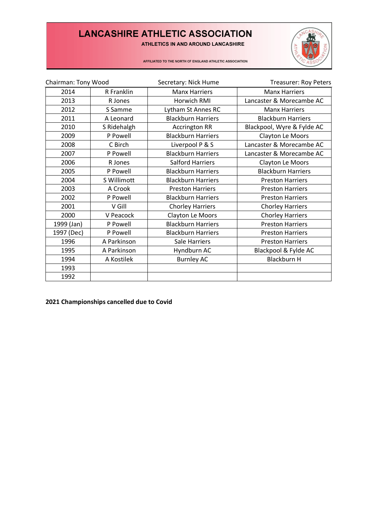ATHLETICS IN AND AROUND LANCASHIRE



AFFILIATED TO THE NORTH OF ENGLAND ATHLETIC ASSOCIATION

| Chairman: Tony Wood |             | Secretary: Nick Hume      | <b>Treasurer: Roy Peters</b> |
|---------------------|-------------|---------------------------|------------------------------|
| 2014                | R Franklin  | <b>Manx Harriers</b>      | <b>Manx Harriers</b>         |
| 2013                | R Jones     | Horwich RMI               | Lancaster & Morecambe AC     |
| 2012                | S Samme     | Lytham St Annes RC        | <b>Manx Harriers</b>         |
| 2011                | A Leonard   | <b>Blackburn Harriers</b> | <b>Blackburn Harriers</b>    |
| 2010                | S Ridehalgh | <b>Accrington RR</b>      | Blackpool, Wyre & Fylde AC   |
| 2009                | P Powell    | <b>Blackburn Harriers</b> | Clayton Le Moors             |
| 2008                | C Birch     | Liverpool P & S           | Lancaster & Morecambe AC     |
| 2007                | P Powell    | <b>Blackburn Harriers</b> | Lancaster & Morecambe AC     |
| 2006                | R Jones     | <b>Salford Harriers</b>   | Clayton Le Moors             |
| 2005                | P Powell    | <b>Blackburn Harriers</b> | <b>Blackburn Harriers</b>    |
| 2004                | S Willimott | <b>Blackburn Harriers</b> | <b>Preston Harriers</b>      |
| 2003                | A Crook     | <b>Preston Harriers</b>   | <b>Preston Harriers</b>      |
| 2002                | P Powell    | <b>Blackburn Harriers</b> | <b>Preston Harriers</b>      |
| 2001                | V Gill      | <b>Chorley Harriers</b>   | <b>Chorley Harriers</b>      |
| 2000                | V Peacock   | Clayton Le Moors          | <b>Chorley Harriers</b>      |
| 1999 (Jan)          | P Powell    | <b>Blackburn Harriers</b> | <b>Preston Harriers</b>      |
| 1997 (Dec)          | P Powell    | <b>Blackburn Harriers</b> | <b>Preston Harriers</b>      |
| 1996                | A Parkinson | Sale Harriers             | <b>Preston Harriers</b>      |
| 1995                | A Parkinson | Hyndburn AC               | Blackpool & Fylde AC         |
| 1994                | A Kostilek  | <b>Burnley AC</b>         | <b>Blackburn H</b>           |
| 1993                |             |                           |                              |
| 1992                |             |                           |                              |

**2021 Championships cancelled due to Covid**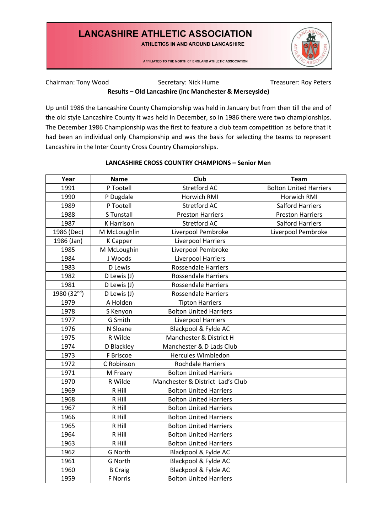ATHLETICS IN AND AROUND LANCASHIRE

AFFILIATED TO THE NORTH OF ENGLAND ATHLETIC ASSOCIATION



### Chairman: Tony Wood Secretary: Nick Hume Treasurer: Roy Peters **Results – Old Lancashire (inc Manchester & Merseyside)**

Up until 1986 the Lancashire County Championship was held in January but from then till the end of the old style Lancashire County it was held in December, so in 1986 there were two championships. The December 1986 Championship was the first to feature a club team competition as before that it had been an individual only Championship and was the basis for selecting the teams to represent Lancashire in the Inter County Cross Country Championships.

### **LANCASHIRE CROSS COUNTRY CHAMPIONS – Senior Men**

| Year        | <b>Name</b>       | <b>Club</b>                      | <b>Team</b>                   |
|-------------|-------------------|----------------------------------|-------------------------------|
| 1991        | P Tootell         | <b>Stretford AC</b>              | <b>Bolton United Harriers</b> |
| 1990        | P Dugdale         | <b>Horwich RMI</b>               | Horwich RMI                   |
| 1989        | P Tootell         | <b>Stretford AC</b>              | <b>Salford Harriers</b>       |
| 1988        | S Tunstall        | <b>Preston Harriers</b>          | <b>Preston Harriers</b>       |
| 1987        | <b>K</b> Harrison | <b>Stretford AC</b>              | <b>Salford Harriers</b>       |
| 1986 (Dec)  | M McLoughlin      | Liverpool Pembroke               | Liverpool Pembroke            |
| 1986 (Jan)  | <b>K</b> Capper   | Liverpool Harriers               |                               |
| 1985        | M McLoughin       | Liverpool Pembroke               |                               |
| 1984        | J Woods           | Liverpool Harriers               |                               |
| 1983        | D Lewis           | <b>Rossendale Harriers</b>       |                               |
| 1982        | D Lewis (J)       | <b>Rossendale Harriers</b>       |                               |
| 1981        | D Lewis (J)       | <b>Rossendale Harriers</b>       |                               |
| 1980 (32nd) | D Lewis (J)       | <b>Rossendale Harriers</b>       |                               |
| 1979        | A Holden          | <b>Tipton Harriers</b>           |                               |
| 1978        | S Kenyon          | <b>Bolton United Harriers</b>    |                               |
| 1977        | G Smith           | Liverpool Harriers               |                               |
| 1976        | N Sloane          | Blackpool & Fylde AC             |                               |
| 1975        | R Wilde           | Manchester & District H          |                               |
| 1974        | D Blackley        | Manchester & D Lads Club         |                               |
| 1973        | F Briscoe         | <b>Hercules Wimbledon</b>        |                               |
| 1972        | C Robinson        | <b>Rochdale Harriers</b>         |                               |
| 1971        | M Freary          | <b>Bolton United Harriers</b>    |                               |
| 1970        | R Wilde           | Manchester & District Lad's Club |                               |
| 1969        | R Hill            | <b>Bolton United Harriers</b>    |                               |
| 1968        | R Hill            | <b>Bolton United Harriers</b>    |                               |
| 1967        | R Hill            | <b>Bolton United Harriers</b>    |                               |
| 1966        | R Hill            | <b>Bolton United Harriers</b>    |                               |
| 1965        | R Hill            | <b>Bolton United Harriers</b>    |                               |
| 1964        | R Hill            | <b>Bolton United Harriers</b>    |                               |
| 1963        | R Hill            | <b>Bolton United Harriers</b>    |                               |
| 1962        | G North           | Blackpool & Fylde AC             |                               |
| 1961        | G North           | Blackpool & Fylde AC             |                               |
| 1960        | <b>B</b> Craig    | Blackpool & Fylde AC             |                               |
| 1959        | F Norris          | <b>Bolton United Harriers</b>    |                               |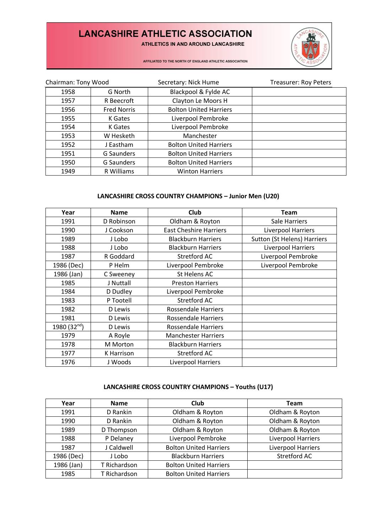ATHLETICS IN AND AROUND LANCASHIRE



AFFILIATED TO THE NORTH OF ENGLAND ATHLETIC ASSOCIATION

| Chairman: Tony Wood |                    | Secretary: Nick Hume          | <b>Treasurer: Roy Peters</b> |
|---------------------|--------------------|-------------------------------|------------------------------|
| 1958                | G North            | Blackpool & Fylde AC          |                              |
| 1957                | R Beecroft         | Clayton Le Moors H            |                              |
| 1956                | <b>Fred Norris</b> | <b>Bolton United Harriers</b> |                              |
| 1955                | K Gates            | Liverpool Pembroke            |                              |
| 1954                | K Gates            | Liverpool Pembroke            |                              |
| 1953                | W Hesketh          | Manchester                    |                              |
| 1952                | J Eastham          | <b>Bolton United Harriers</b> |                              |
| 1951                | <b>G</b> Saunders  | <b>Bolton United Harriers</b> |                              |
| 1950                | G Saunders         | <b>Bolton United Harriers</b> |                              |
| 1949                | R Williams         | <b>Winton Harriers</b>        |                              |

### **LANCASHIRE CROSS COUNTRY CHAMPIONS – Junior Men (U20)**

| Year          | <b>Name</b> | Club                          | <b>Team</b>                        |
|---------------|-------------|-------------------------------|------------------------------------|
| 1991          | D Robinson  | Oldham & Royton               | Sale Harriers                      |
| 1990          | J Cookson   | <b>East Cheshire Harriers</b> | Liverpool Harriers                 |
| 1989          | J Lobo      | <b>Blackburn Harriers</b>     | <b>Sutton (St Helens) Harriers</b> |
| 1988          | J Lobo      | <b>Blackburn Harriers</b>     | Liverpool Harriers                 |
| 1987          | R Goddard   | Stretford AC                  | Liverpool Pembroke                 |
| 1986 (Dec)    | P Helm      | Liverpool Pembroke            | Liverpool Pembroke                 |
| 1986 (Jan)    | C Sweeney   | <b>St Helens AC</b>           |                                    |
| 1985          | J Nuttall   | <b>Preston Harriers</b>       |                                    |
| 1984          | D Dudley    | Liverpool Pembroke            |                                    |
| 1983          | P Tootell   | Stretford AC                  |                                    |
| 1982          | D Lewis     | <b>Rossendale Harriers</b>    |                                    |
| 1981          | D Lewis     | Rossendale Harriers           |                                    |
| 1980 $(32nd)$ | D Lewis     | <b>Rossendale Harriers</b>    |                                    |
| 1979          | A Royle     | <b>Manchester Harriers</b>    |                                    |
| 1978          | M Morton    | <b>Blackburn Harriers</b>     |                                    |
| 1977          | K Harrison  | <b>Stretford AC</b>           |                                    |
| 1976          | J Woods     | Liverpool Harriers            |                                    |

## **LANCASHIRE CROSS COUNTRY CHAMPIONS – Youths (U17)**

| Year       | <b>Name</b>  | <b>Club</b>                   | <b>Team</b>        |
|------------|--------------|-------------------------------|--------------------|
| 1991       | D Rankin     | Oldham & Royton               | Oldham & Royton    |
| 1990       | D Rankin     | Oldham & Royton               | Oldham & Royton    |
| 1989       | D Thompson   | Oldham & Royton               | Oldham & Royton    |
| 1988       | P Delaney    | Liverpool Pembroke            | Liverpool Harriers |
| 1987       | J Caldwell   | <b>Bolton United Harriers</b> | Liverpool Harriers |
| 1986 (Dec) | J Lobo       | <b>Blackburn Harriers</b>     | Stretford AC       |
| 1986 (Jan) | T Richardson | <b>Bolton United Harriers</b> |                    |
| 1985       | T Richardson | <b>Bolton United Harriers</b> |                    |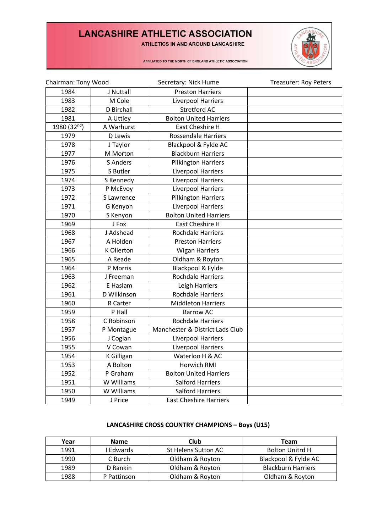ATHLETICS IN AND AROUND LANCASHIRE



AFFILIATED TO THE NORTH OF ENGLAND ATHLETIC ASSOCIATION

| Chairman: Tony Wood |                   | Secretary: Nick Hume            | <b>Treasurer: Roy Peters</b> |
|---------------------|-------------------|---------------------------------|------------------------------|
| 1984                | J Nuttall         | <b>Preston Harriers</b>         |                              |
| 1983                | M Cole            | Liverpool Harriers              |                              |
| 1982                | D Birchall        | <b>Stretford AC</b>             |                              |
| 1981                | A Uttley          | <b>Bolton United Harriers</b>   |                              |
| 1980 (32nd)         | A Warhurst        | <b>East Cheshire H</b>          |                              |
| 1979                | D Lewis           | <b>Rossendale Harriers</b>      |                              |
| 1978                | J Taylor          | Blackpool & Fylde AC            |                              |
| 1977                | M Morton          | <b>Blackburn Harriers</b>       |                              |
| 1976                | <b>S</b> Anders   | <b>Pilkington Harriers</b>      |                              |
| 1975                | S Butler          | Liverpool Harriers              |                              |
| 1974                | S Kennedy         | Liverpool Harriers              |                              |
| 1973                | P McEvoy          | Liverpool Harriers              |                              |
| 1972                | S Lawrence        | <b>Pilkington Harriers</b>      |                              |
| 1971                | G Kenyon          | Liverpool Harriers              |                              |
| 1970                | S Kenyon          | <b>Bolton United Harriers</b>   |                              |
| 1969                | J Fox             | East Cheshire H                 |                              |
| 1968                | J Adshead         | <b>Rochdale Harriers</b>        |                              |
| 1967                | A Holden          | <b>Preston Harriers</b>         |                              |
| 1966                | K Ollerton        | <b>Wigan Harriers</b>           |                              |
| 1965                | A Reade           | Oldham & Royton                 |                              |
| 1964                | P Morris          | Blackpool & Fylde               |                              |
| 1963                | J Freeman         | <b>Rochdale Harriers</b>        |                              |
| 1962                | E Haslam          | Leigh Harriers                  |                              |
| 1961                | D Wilkinson       | <b>Rochdale Harriers</b>        |                              |
| 1960                | R Carter          | <b>Middleton Harriers</b>       |                              |
| 1959                | P Hall            | <b>Barrow AC</b>                |                              |
| 1958                | C Robinson        | <b>Rochdale Harriers</b>        |                              |
| 1957                | P Montague        | Manchester & District Lads Club |                              |
| 1956                | J Coglan          | Liverpool Harriers              |                              |
| 1955                | V Cowan           | Liverpool Harriers              |                              |
| 1954                | <b>K</b> Gilligan | Waterloo H & AC                 |                              |
| 1953                | A Bolton          | Horwich RMI                     |                              |
| 1952                | P Graham          | <b>Bolton United Harriers</b>   |                              |
| 1951                | W Williams        | <b>Salford Harriers</b>         |                              |
| 1950                | W Williams        | <b>Salford Harriers</b>         |                              |
| 1949                | J Price           | <b>East Cheshire Harriers</b>   |                              |

### **LANCASHIRE CROSS COUNTRY CHAMPIONS – Boys (U15)**

| Year | <b>Name</b> | Club                | <b>Team</b>               |
|------|-------------|---------------------|---------------------------|
| 1991 | Edwards     | St Helens Sutton AC | <b>Bolton Unitrd H</b>    |
| 1990 | C Burch     | Oldham & Royton     | Blackpool & Fylde AC      |
| 1989 | D Rankin    | Oldham & Royton     | <b>Blackburn Harriers</b> |
| 1988 | P Pattinson | Oldham & Royton     | Oldham & Royton           |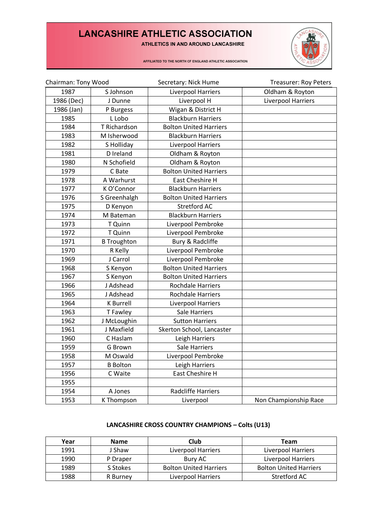ATHLETICS IN AND AROUND LANCASHIRE



AFFILIATED TO THE NORTH OF ENGLAND ATHLETIC ASSOCIATION

| Chairman: Tony Wood |                    | Secretary: Nick Hume          | Treasurer: Roy Peters |
|---------------------|--------------------|-------------------------------|-----------------------|
| 1987                | S Johnson          | Liverpool Harriers            | Oldham & Royton       |
| 1986 (Dec)          | J Dunne            | Liverpool H                   | Liverpool Harriers    |
| 1986 (Jan)          | P Burgess          | Wigan & District H            |                       |
| 1985                | L Lobo             | <b>Blackburn Harriers</b>     |                       |
| 1984                | T Richardson       | <b>Bolton United Harriers</b> |                       |
| 1983                | M Isherwood        | <b>Blackburn Harriers</b>     |                       |
| 1982                | S Holliday         | Liverpool Harriers            |                       |
| 1981                | D Ireland          | Oldham & Royton               |                       |
| 1980                | N Schofield        | Oldham & Royton               |                       |
| 1979                | C Bate             | <b>Bolton United Harriers</b> |                       |
| 1978                | A Warhurst         | East Cheshire H               |                       |
| 1977                | K O'Connor         | <b>Blackburn Harriers</b>     |                       |
| 1976                | S Greenhalgh       | <b>Bolton United Harriers</b> |                       |
| 1975                | D Kenyon           | <b>Stretford AC</b>           |                       |
| 1974                | M Bateman          | <b>Blackburn Harriers</b>     |                       |
| 1973                | T Quinn            | Liverpool Pembroke            |                       |
| 1972                | T Quinn            | Liverpool Pembroke            |                       |
| 1971                | <b>B</b> Troughton | Bury & Radcliffe              |                       |
| 1970                | R Kelly            | Liverpool Pembroke            |                       |
| 1969                | J Carrol           | Liverpool Pembroke            |                       |
| 1968                | S Kenyon           | <b>Bolton United Harriers</b> |                       |
| 1967                | S Kenyon           | <b>Bolton United Harriers</b> |                       |
| 1966                | J Adshead          | <b>Rochdale Harriers</b>      |                       |
| 1965                | J Adshead          | <b>Rochdale Harriers</b>      |                       |
| 1964                | <b>K</b> Burrell   | Liverpool Harriers            |                       |
| 1963                | T Fawley           | <b>Sale Harriers</b>          |                       |
| 1962                | J McLoughin        | <b>Sutton Harriers</b>        |                       |
| 1961                | J Maxfield         | Skerton School, Lancaster     |                       |
| 1960                | C Haslam           | Leigh Harriers                |                       |
| 1959                | G Brown            | <b>Sale Harriers</b>          |                       |
| 1958                | M Oswald           | Liverpool Pembroke            |                       |
| 1957                | <b>B</b> Bolton    | Leigh Harriers                |                       |
| 1956                | C Waite            | East Cheshire H               |                       |
| 1955                |                    |                               |                       |
| 1954                | A Jones            | <b>Radcliffe Harriers</b>     |                       |
| 1953                | K Thompson         | Liverpool                     | Non Championship Race |

### **LANCASHIRE CROSS COUNTRY CHAMPIONS – Colts (U13)**

| Year | <b>Name</b> | Club                          | <b>Team</b>                   |
|------|-------------|-------------------------------|-------------------------------|
| 1991 | J Shaw      | <b>Liverpool Harriers</b>     | Liverpool Harriers            |
| 1990 | P Draper    | Bury AC                       | Liverpool Harriers            |
| 1989 | S Stokes    | <b>Bolton United Harriers</b> | <b>Bolton United Harriers</b> |
| 1988 | R Burney    | Liverpool Harriers            | Stretford AC                  |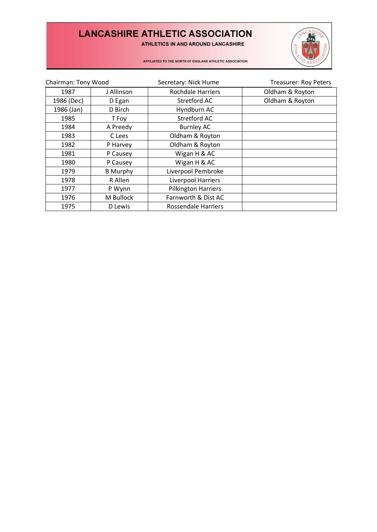ATHLETICS IN AND AROUND LANCASHIRE



AFFILIATED TO THE NORTH OF ENGLAND ATHLETIC ASSOCIATION

| Chairman: Tony Wood |                 | Secretary: Nick Hume       | <b>Treasurer: Roy Peters</b> |
|---------------------|-----------------|----------------------------|------------------------------|
| 1987                | J Allinson      | <b>Rochdale Harriers</b>   | Oldham & Royton              |
| 1986 (Dec)          | D Egan          | Stretford AC               | Oldham & Royton              |
| 1986 (Jan)          | D Birch         | Hyndburn AC                |                              |
| 1985                | T Foy           | Stretford AC               |                              |
| 1984                | A Preedy        | <b>Burnley AC</b>          |                              |
| 1983                | C Lees          | Oldham & Royton            |                              |
| 1982                | P Harvey        | Oldham & Royton            |                              |
| 1981                | P Causey        | Wigan H & AC               |                              |
| 1980                | P Causey        | Wigan H & AC               |                              |
| 1979                | <b>B</b> Murphy | Liverpool Pembroke         |                              |
| 1978                | R Allen         | Liverpool Harriers         |                              |
| 1977                | P Wynn          | <b>Pilkington Harriers</b> |                              |
| 1976                | M Bullock       | Farnworth & Dist AC        |                              |
| 1975                | D Lewis         | <b>Rossendale Harriers</b> |                              |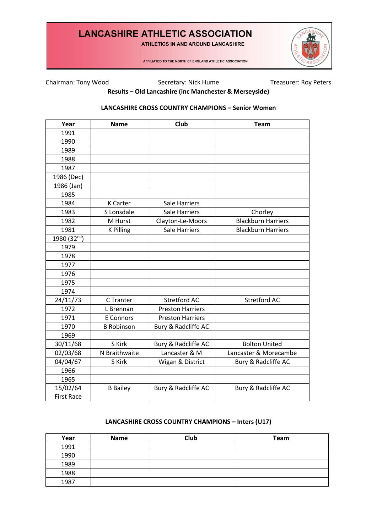ATHLETICS IN AND AROUND LANCASHIRE

AFFILIATED TO THE NORTH OF ENGLAND ATHLETIC ASSOCIATION



Chairman: Tony Wood Secretary: Nick Hume Treasurer: Roy Peters

**Results – Old Lancashire (inc Manchester & Merseyside)**

### **LANCASHIRE CROSS COUNTRY CHAMPIONS – Senior Women**

| Year              | <b>Name</b>       | <b>Club</b>             | <b>Team</b>               |
|-------------------|-------------------|-------------------------|---------------------------|
| 1991              |                   |                         |                           |
| 1990              |                   |                         |                           |
| 1989              |                   |                         |                           |
| 1988              |                   |                         |                           |
| 1987              |                   |                         |                           |
| 1986 (Dec)        |                   |                         |                           |
| 1986 (Jan)        |                   |                         |                           |
| 1985              |                   |                         |                           |
| 1984              | <b>K</b> Carter   | Sale Harriers           |                           |
| 1983              | S Lonsdale        | <b>Sale Harriers</b>    | Chorley                   |
| 1982              | M Hurst           | Clayton-Le-Moors        | <b>Blackburn Harriers</b> |
| 1981              | <b>K Pilling</b>  | <b>Sale Harriers</b>    | <b>Blackburn Harriers</b> |
| 1980 (32nd)       |                   |                         |                           |
| 1979              |                   |                         |                           |
| 1978              |                   |                         |                           |
| 1977              |                   |                         |                           |
| 1976              |                   |                         |                           |
| 1975              |                   |                         |                           |
| 1974              |                   |                         |                           |
| 24/11/73          | C Tranter         | <b>Stretford AC</b>     | <b>Stretford AC</b>       |
| 1972              | L Brennan         | <b>Preston Harriers</b> |                           |
| 1971              | E Connors         | <b>Preston Harriers</b> |                           |
| 1970              | <b>B Robinson</b> | Bury & Radcliffe AC     |                           |
| 1969              |                   |                         |                           |
| 30/11/68          | S Kirk            | Bury & Radcliffe AC     | <b>Bolton United</b>      |
| 02/03/68          | N Braithwaite     | Lancaster & M           | Lancaster & Morecambe     |
| 04/04/67          | S Kirk            | Wigan & District        | Bury & Radcliffe AC       |
| 1966              |                   |                         |                           |
| 1965              |                   |                         |                           |
| 15/02/64          | <b>B</b> Bailey   | Bury & Radcliffe AC     | Bury & Radcliffe AC       |
| <b>First Race</b> |                   |                         |                           |

## **LANCASHIRE CROSS COUNTRY CHAMPIONS – Inters (U17)**

| Year | <b>Name</b> | Club | Team |
|------|-------------|------|------|
| 1991 |             |      |      |
| 1990 |             |      |      |
| 1989 |             |      |      |
| 1988 |             |      |      |
| 1987 |             |      |      |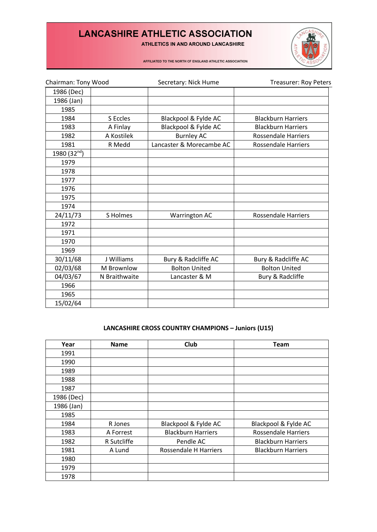ATHLETICS IN AND AROUND LANCASHIRE



AFFILIATED TO THE NORTH OF ENGLAND ATHLETIC ASSOCIATION

| Chairman: Tony Wood |               | Secretary: Nick Hume     | <b>Treasurer: Roy Peters</b> |  |
|---------------------|---------------|--------------------------|------------------------------|--|
| 1986 (Dec)          |               |                          |                              |  |
| 1986 (Jan)          |               |                          |                              |  |
| 1985                |               |                          |                              |  |
| 1984                | S Eccles      | Blackpool & Fylde AC     | <b>Blackburn Harriers</b>    |  |
| 1983                | A Finlay      | Blackpool & Fylde AC     | <b>Blackburn Harriers</b>    |  |
| 1982                | A Kostilek    | <b>Burnley AC</b>        | <b>Rossendale Harriers</b>   |  |
| 1981                | R Medd        | Lancaster & Morecambe AC | <b>Rossendale Harriers</b>   |  |
| 1980 (32nd)         |               |                          |                              |  |
| 1979                |               |                          |                              |  |
| 1978                |               |                          |                              |  |
| 1977                |               |                          |                              |  |
| 1976                |               |                          |                              |  |
| 1975                |               |                          |                              |  |
| 1974                |               |                          |                              |  |
| 24/11/73            | S Holmes      | Warrington AC            | <b>Rossendale Harriers</b>   |  |
| 1972                |               |                          |                              |  |
| 1971                |               |                          |                              |  |
| 1970                |               |                          |                              |  |
| 1969                |               |                          |                              |  |
| 30/11/68            | J Williams    | Bury & Radcliffe AC      | Bury & Radcliffe AC          |  |
| 02/03/68            | M Brownlow    | <b>Bolton United</b>     | <b>Bolton United</b>         |  |
| 04/03/67            | N Braithwaite | Lancaster & M            | Bury & Radcliffe             |  |
| 1966                |               |                          |                              |  |
| 1965                |               |                          |                              |  |
| 15/02/64            |               |                          |                              |  |

### **LANCASHIRE CROSS COUNTRY CHAMPIONS – Juniors (U15)**

| Year       | <b>Name</b> | Club                      | <b>Team</b>                |
|------------|-------------|---------------------------|----------------------------|
| 1991       |             |                           |                            |
| 1990       |             |                           |                            |
| 1989       |             |                           |                            |
| 1988       |             |                           |                            |
| 1987       |             |                           |                            |
| 1986 (Dec) |             |                           |                            |
| 1986 (Jan) |             |                           |                            |
| 1985       |             |                           |                            |
| 1984       | R Jones     | Blackpool & Fylde AC      | Blackpool & Fylde AC       |
| 1983       | A Forrest   | <b>Blackburn Harriers</b> | <b>Rossendale Harriers</b> |
| 1982       | R Sutcliffe | Pendle AC                 | <b>Blackburn Harriers</b>  |
| 1981       | A Lund      | Rossendale H Harriers     | <b>Blackburn Harriers</b>  |
| 1980       |             |                           |                            |
| 1979       |             |                           |                            |
| 1978       |             |                           |                            |